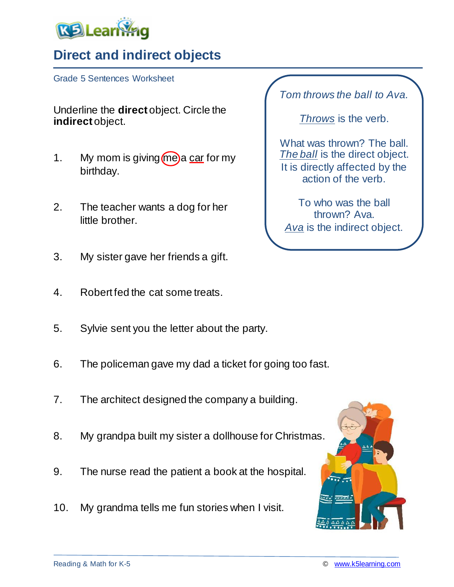

## **Direct and indirect objects**

Grade 5 Sentences Worksheet

Underline the **direct** object. Circle the **indirect** object.

- 1. My mom is giving  $\omega$  a car for my birthday.
- 2. The teacher wants a dog for her little brother.
- 3. My sister gave her friends a gift.
- 4. Robert fed the cat some treats.
- 5. Sylvie sent you the letter about the party.
- 6. The policeman gave my dad a ticket for going too fast.
- 7. The architect designed the company a building.
- 8. My grandpa built my sister a dollhouse for Christmas.
- 9. The nurse read the patient a book at the hospital.
- 10. My grandma tells me fun stories when I visit.

*Tom throws the ball to Ava.*

*Throws* is the verb.

What was thrown? The ball. *The ball* is the direct object. It is directly affected by the action of the verb.

To who was the ball thrown? Ava. *Ava* is the indirect object.